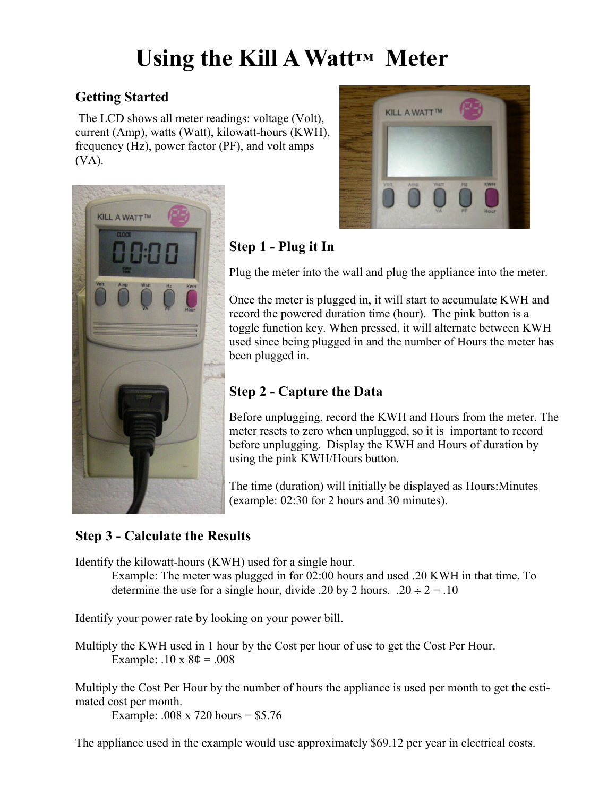# **Using the Kill A Watt™ Meter**

# **Getting Started**

The LCD shows all meter readings: voltage (Volt), current (Amp), watts (Watt), kilowatt-hours (KWH), frequency (Hz), power factor (PF), and volt amps (VA).





# **Step 1 - Plug it In**

Plug the meter into the wall and plug the appliance into the meter.

Once the meter is plugged in, it will start to accumulate KWH and record the powered duration time (hour). The pink button is a toggle function key. When pressed, it will alternate between KWH used since being plugged in and the number of Hours the meter has been plugged in.

# **Step 2 - Capture the Data**

Before unplugging, record the KWH and Hours from the meter. The meter resets to zero when unplugged, so it is important to record before unplugging. Display the KWH and Hours of duration by using the pink KWH/Hours button.

The time (duration) will initially be displayed as Hours:Minutes (example: 02:30 for 2 hours and 30 minutes).

# **Step 3 - Calculate the Results**

Identify the kilowatt-hours (KWH) used for a single hour.

 Example: The meter was plugged in for 02:00 hours and used .20 KWH in that time. To determine the use for a single hour, divide .20 by 2 hours. .20  $\div$  2 = .10

Identify your power rate by looking on your power bill.

Multiply the KWH used in 1 hour by the Cost per hour of use to get the Cost Per Hour. Example:  $.10 \times 8\phi = .008$ 

Multiply the Cost Per Hour by the number of hours the appliance is used per month to get the estimated cost per month.

Example: .008 x 720 hours = \$5.76

The appliance used in the example would use approximately \$69.12 per year in electrical costs.